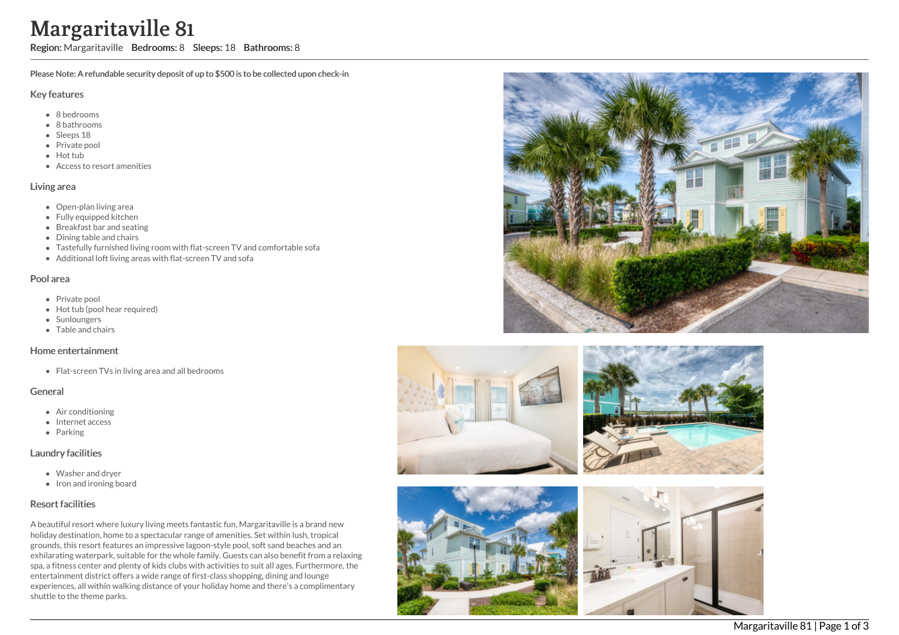# ville 81

Region: Margaritaville Bedrooms: 8 Sleeps: 18 Bathrooms: 8

Please Note: A refundable security deposit of up to \$500 is to be collected upon check-in

### Key features

- 8 b e d r o o m s
- 8 bathrooms
- Sleeps 18
- Private pool
- Hot tub
- Access to resort amenities

#### Living area

- Open-plan living area
- Fully equipped kitchen
- Breakfast bar and seating
- Dining table and chairs
- Tastefully furnished living room with flat-screen TV and comfortable sofa
- Additional loft living areas with flat-screen TV and sofa

#### Pool area

- Private pool
- Hot tub (pool hear required)
- **Sunloungers**
- T a ble a n d c h air s

#### Home entertainment

Flat-screen TVs in living area and all bedrooms

## General

- Air conditioning
- Internet access
- Parking

## Laundry facilities

- Washer and dryer
- Iron and ironing board

## Resort facilities

A beautiful resort where luxury living meets fantastic fun, Margaritaville is a brand new holiday destination, home to a spectacular range of amenities. Set within lush, tropical grounds, this resort features an impressive lagoon-style pool, soft sand beaches and an exhilarating waterpark, suitable for the whole family. Guests can also benefit from a relaxing spa, a fitness center and plenty of kids clubs with activities to suit all ages. Furthermore, the entertainment district offers a wide range of first-class shopping, dining and lounge experiences, all within walking distance of your holiday home and there's a complimentary shuttle to the theme parks Margaritaville<br>
Region: Margaritaville<br>
Please Note: A refundable see<br>
Key features<br>
• 8 bedrooms<br>
• 8 bedrooms<br>
• Bedrooms<br>
• Bedrooms<br>
• Bedrooms<br>
• Bedrooms<br>
• Bedrooms<br>
• Hot tub<br>
• Access to resort amen<br>
• Fully equip









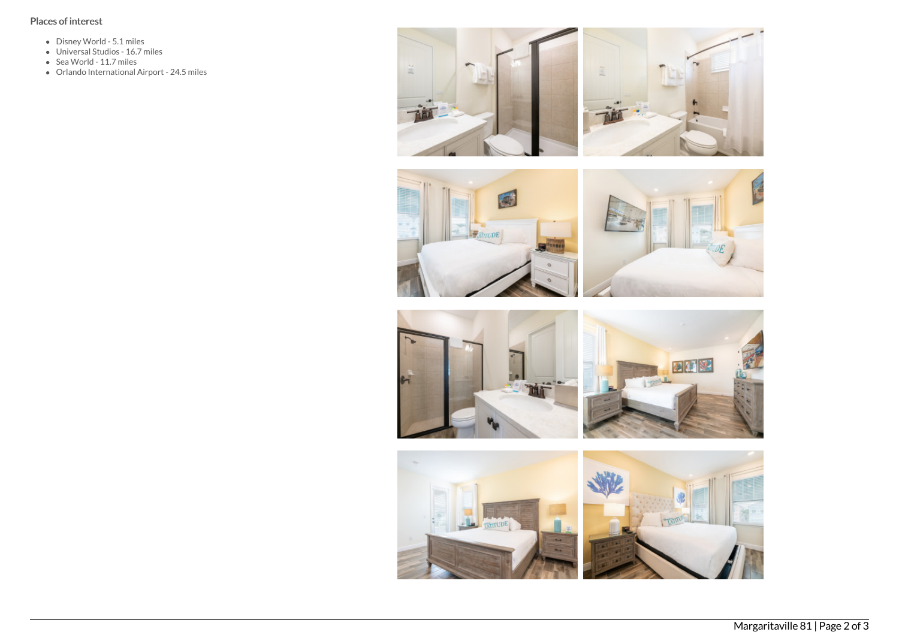# Places of interest

- Disney World 5.1 miles
- Universal Studios 16.7 miles
- Sea World 11.7 miles
- Orlando International Airport 24.5 miles